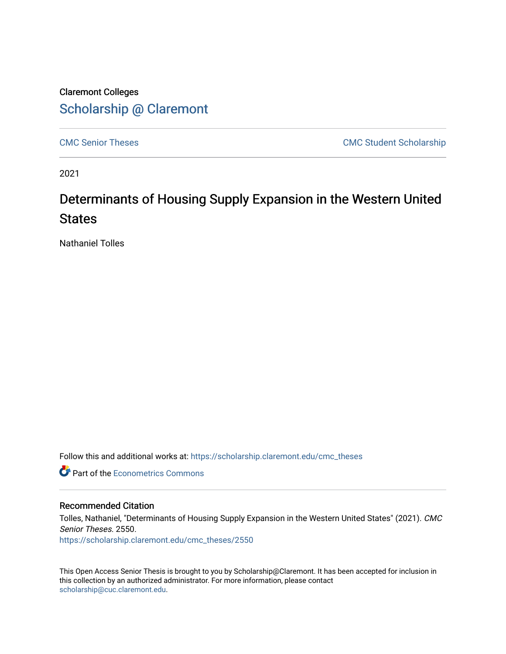## Claremont Colleges [Scholarship @ Claremont](https://scholarship.claremont.edu/)

[CMC Senior Theses](https://scholarship.claremont.edu/cmc_theses) CMC Student Scholarship

2021

# Determinants of Housing Supply Expansion in the Western United **States**

Nathaniel Tolles

Follow this and additional works at: [https://scholarship.claremont.edu/cmc\\_theses](https://scholarship.claremont.edu/cmc_theses?utm_source=scholarship.claremont.edu%2Fcmc_theses%2F2550&utm_medium=PDF&utm_campaign=PDFCoverPages) 

**C** Part of the [Econometrics Commons](http://network.bepress.com/hgg/discipline/342?utm_source=scholarship.claremont.edu%2Fcmc_theses%2F2550&utm_medium=PDF&utm_campaign=PDFCoverPages)

#### Recommended Citation

Tolles, Nathaniel, "Determinants of Housing Supply Expansion in the Western United States" (2021). CMC Senior Theses. 2550.

[https://scholarship.claremont.edu/cmc\\_theses/2550](https://scholarship.claremont.edu/cmc_theses/2550?utm_source=scholarship.claremont.edu%2Fcmc_theses%2F2550&utm_medium=PDF&utm_campaign=PDFCoverPages) 

This Open Access Senior Thesis is brought to you by Scholarship@Claremont. It has been accepted for inclusion in this collection by an authorized administrator. For more information, please contact [scholarship@cuc.claremont.edu.](mailto:scholarship@cuc.claremont.edu)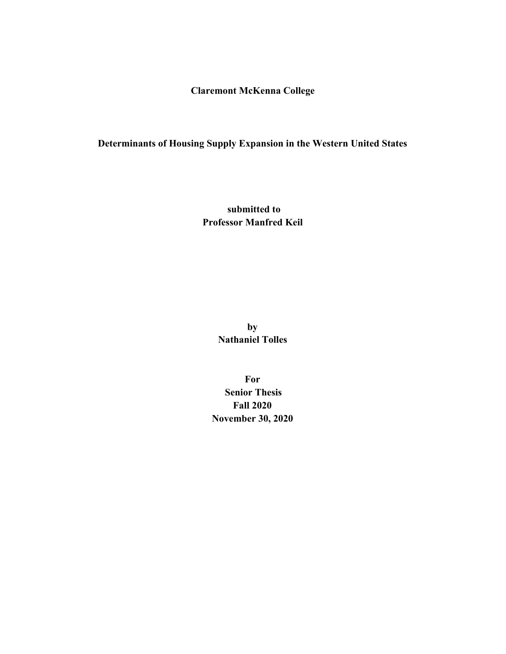**Claremont McKenna College**

## **Determinants of Housing Supply Expansion in the Western United States**

 **submitted to Professor Manfred Keil**

> **by Nathaniel Tolles**

**For Senior Thesis Fall 2020 November 30, 2020**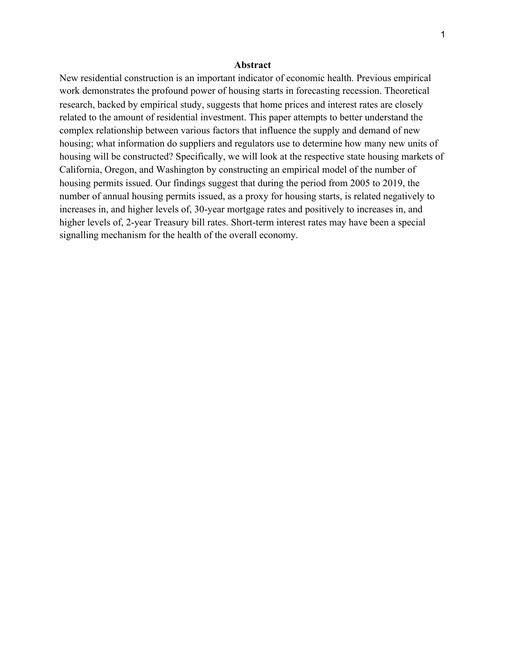#### **Abstract**

New residential construction is an important indicator of economic health. Previous empirical work demonstrates the profound power of housing starts in forecasting recession. Theoretical research, backed by empirical study, suggests that home prices and interest rates are closely related to the amount of residential investment. This paper attempts to better understand the complex relationship between various factors that influence the supply and demand of new housing; what information do suppliers and regulators use to determine how many new units of housing will be constructed? Specifically, we will look at the respective state housing markets of California, Oregon, and Washington by constructing an empirical model of the number of housing permits issued. Our findings suggest that during the period from 2005 to 2019, the number of annual housing permits issued, as a proxy for housing starts, is related negatively to increases in, and higher levels of, 30-year mortgage rates and positively to increases in, and higher levels of, 2-year Treasury bill rates. Short-term interest rates may have been a special signalling mechanism for the health of the overall economy.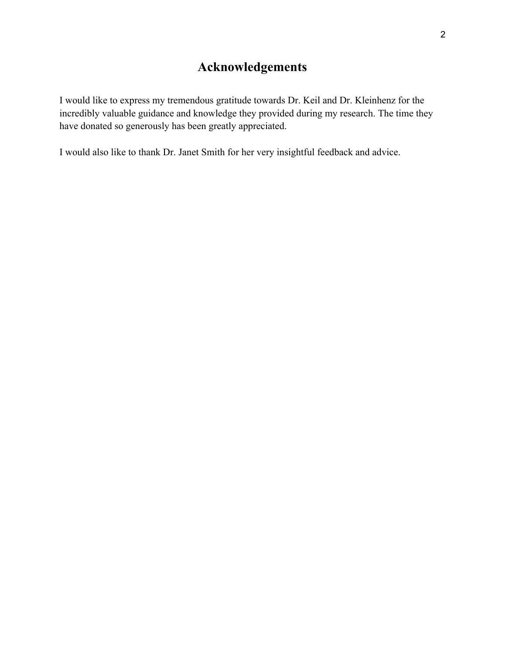# **Acknowledgements**

I would like to express my tremendous gratitude towards Dr. Keil and Dr. Kleinhenz for the incredibly valuable guidance and knowledge they provided during my research. The time they have donated so generously has been greatly appreciated.

I would also like to thank Dr. Janet Smith for her very insightful feedback and advice.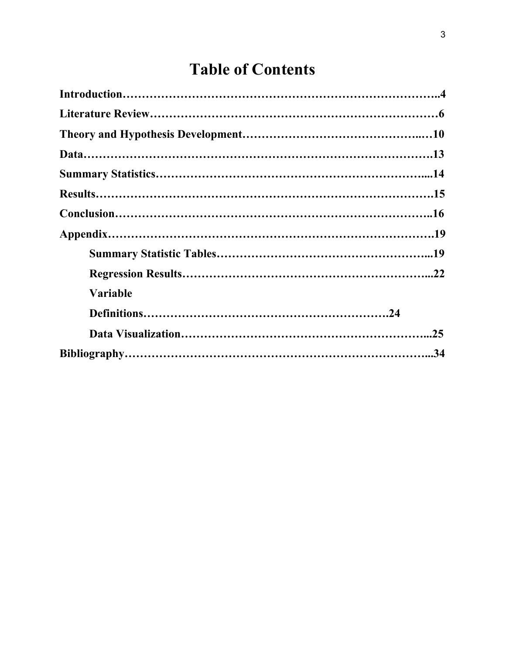# **Table of Contents**

| <b>Variable</b> |  |
|-----------------|--|
|                 |  |
|                 |  |
|                 |  |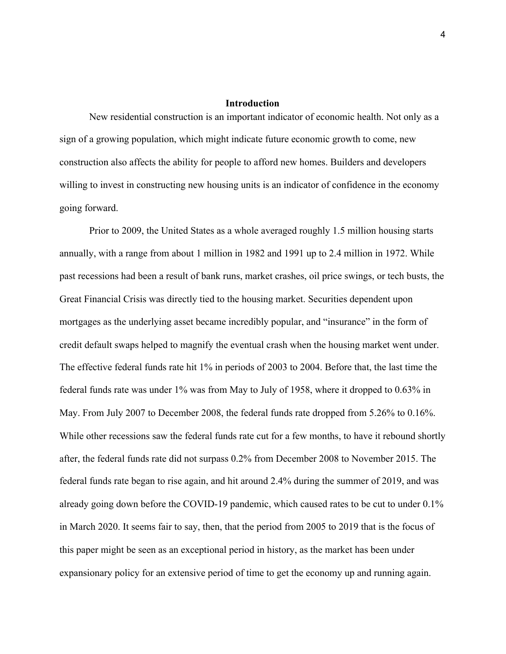#### **Introduction**

New residential construction is an important indicator of economic health. Not only as a sign of a growing population, which might indicate future economic growth to come, new construction also affects the ability for people to afford new homes. Builders and developers willing to invest in constructing new housing units is an indicator of confidence in the economy going forward.

Prior to 2009, the United States as a whole averaged roughly 1.5 million housing starts annually, with a range from about 1 million in 1982 and 1991 up to 2.4 million in 1972. While past recessions had been a result of bank runs, market crashes, oil price swings, or tech busts, the Great Financial Crisis was directly tied to the housing market. Securities dependent upon mortgages as the underlying asset became incredibly popular, and "insurance" in the form of credit default swaps helped to magnify the eventual crash when the housing market went under. The effective federal funds rate hit 1% in periods of 2003 to 2004. Before that, the last time the federal funds rate was under 1% was from May to July of 1958, where it dropped to 0.63% in May. From July 2007 to December 2008, the federal funds rate dropped from 5.26% to 0.16%. While other recessions saw the federal funds rate cut for a few months, to have it rebound shortly after, the federal funds rate did not surpass 0.2% from December 2008 to November 2015. The federal funds rate began to rise again, and hit around 2.4% during the summer of 2019, and was already going down before the COVID-19 pandemic, which caused rates to be cut to under 0.1% in March 2020. It seems fair to say, then, that the period from 2005 to 2019 that is the focus of this paper might be seen as an exceptional period in history, as the market has been under expansionary policy for an extensive period of time to get the economy up and running again.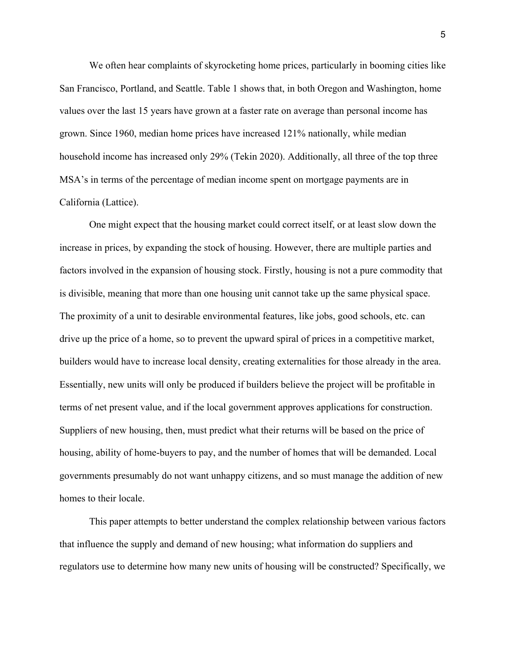We often hear complaints of skyrocketing home prices, particularly in booming cities like San Francisco, Portland, and Seattle. Table 1 shows that, in both Oregon and Washington, home values over the last 15 years have grown at a faster rate on average than personal income has grown. Since 1960, median home prices have increased 121% nationally, while median household income has increased only 29% (Tekin 2020). Additionally, all three of the top three MSA's in terms of the percentage of median income spent on mortgage payments are in California (Lattice).

One might expect that the housing market could correct itself, or at least slow down the increase in prices, by expanding the stock of housing. However, there are multiple parties and factors involved in the expansion of housing stock. Firstly, housing is not a pure commodity that is divisible, meaning that more than one housing unit cannot take up the same physical space. The proximity of a unit to desirable environmental features, like jobs, good schools, etc. can drive up the price of a home, so to prevent the upward spiral of prices in a competitive market, builders would have to increase local density, creating externalities for those already in the area. Essentially, new units will only be produced if builders believe the project will be profitable in terms of net present value, and if the local government approves applications for construction. Suppliers of new housing, then, must predict what their returns will be based on the price of housing, ability of home-buyers to pay, and the number of homes that will be demanded. Local governments presumably do not want unhappy citizens, and so must manage the addition of new homes to their locale.

This paper attempts to better understand the complex relationship between various factors that influence the supply and demand of new housing; what information do suppliers and regulators use to determine how many new units of housing will be constructed? Specifically, we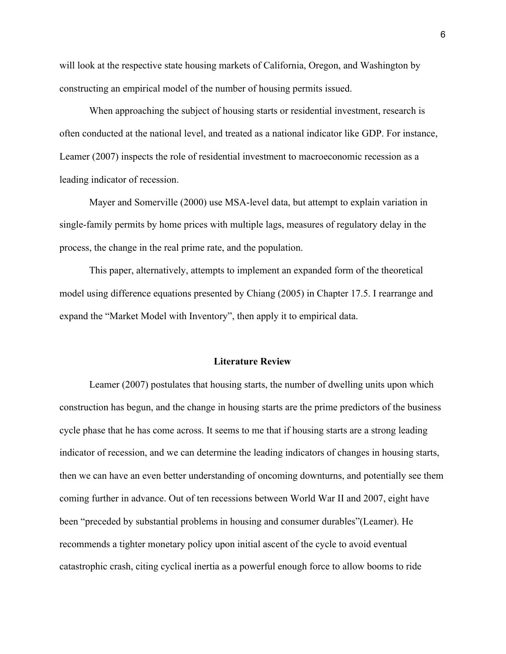will look at the respective state housing markets of California, Oregon, and Washington by constructing an empirical model of the number of housing permits issued.

When approaching the subject of housing starts or residential investment, research is often conducted at the national level, and treated as a national indicator like GDP. For instance, Leamer (2007) inspects the role of residential investment to macroeconomic recession as a leading indicator of recession.

Mayer and Somerville (2000) use MSA-level data, but attempt to explain variation in single-family permits by home prices with multiple lags, measures of regulatory delay in the process, the change in the real prime rate, and the population.

This paper, alternatively, attempts to implement an expanded form of the theoretical model using difference equations presented by Chiang (2005) in Chapter 17.5. I rearrange and expand the "Market Model with Inventory", then apply it to empirical data.

#### **Literature Review**

Leamer (2007) postulates that housing starts, the number of dwelling units upon which construction has begun, and the change in housing starts are the prime predictors of the business cycle phase that he has come across. It seems to me that if housing starts are a strong leading indicator of recession, and we can determine the leading indicators of changes in housing starts, then we can have an even better understanding of oncoming downturns, and potentially see them coming further in advance. Out of ten recessions between World War II and 2007, eight have been "preceded by substantial problems in housing and consumer durables"(Leamer). He recommends a tighter monetary policy upon initial ascent of the cycle to avoid eventual catastrophic crash, citing cyclical inertia as a powerful enough force to allow booms to ride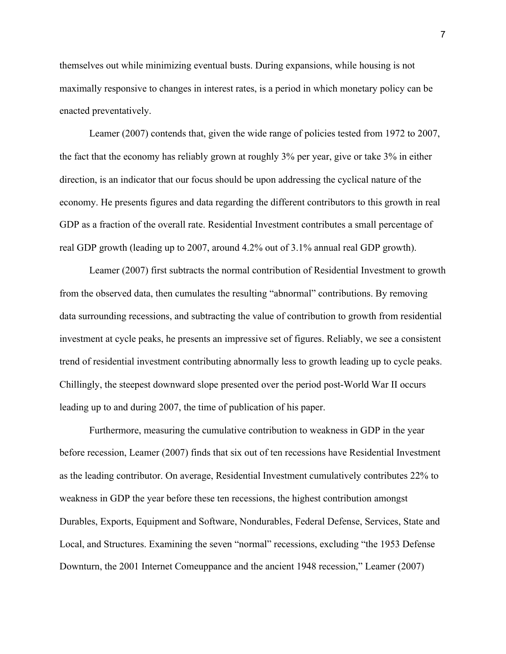themselves out while minimizing eventual busts. During expansions, while housing is not maximally responsive to changes in interest rates, is a period in which monetary policy can be enacted preventatively.

Leamer (2007) contends that, given the wide range of policies tested from 1972 to 2007, the fact that the economy has reliably grown at roughly 3% per year, give or take 3% in either direction, is an indicator that our focus should be upon addressing the cyclical nature of the economy. He presents figures and data regarding the different contributors to this growth in real GDP as a fraction of the overall rate. Residential Investment contributes a small percentage of real GDP growth (leading up to 2007, around 4.2% out of 3.1% annual real GDP growth).

Leamer (2007) first subtracts the normal contribution of Residential Investment to growth from the observed data, then cumulates the resulting "abnormal" contributions. By removing data surrounding recessions, and subtracting the value of contribution to growth from residential investment at cycle peaks, he presents an impressive set of figures. Reliably, we see a consistent trend of residential investment contributing abnormally less to growth leading up to cycle peaks. Chillingly, the steepest downward slope presented over the period post-World War II occurs leading up to and during 2007, the time of publication of his paper.

Furthermore, measuring the cumulative contribution to weakness in GDP in the year before recession, Leamer (2007) finds that six out of ten recessions have Residential Investment as the leading contributor. On average, Residential Investment cumulatively contributes 22% to weakness in GDP the year before these ten recessions, the highest contribution amongst Durables, Exports, Equipment and Software, Nondurables, Federal Defense, Services, State and Local, and Structures. Examining the seven "normal" recessions, excluding "the 1953 Defense Downturn, the 2001 Internet Comeuppance and the ancient 1948 recession," Leamer (2007)

7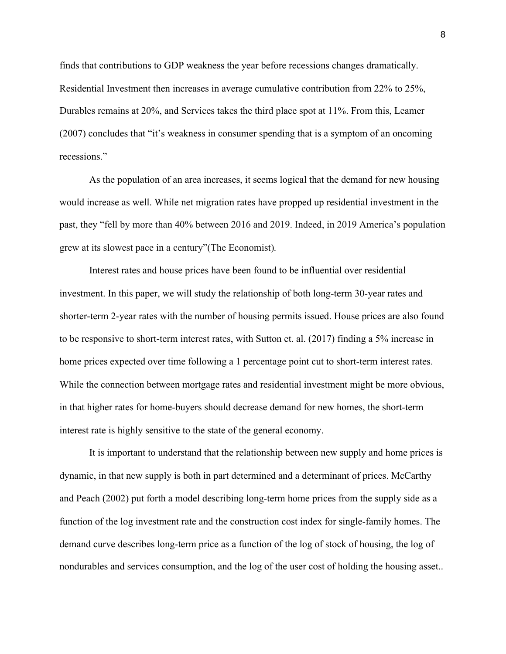finds that contributions to GDP weakness the year before recessions changes dramatically. Residential Investment then increases in average cumulative contribution from 22% to 25%, Durables remains at 20%, and Services takes the third place spot at 11%. From this, Leamer (2007) concludes that "it's weakness in consumer spending that is a symptom of an oncoming recessions."

As the population of an area increases, it seems logical that the demand for new housing would increase as well. While net migration rates have propped up residential investment in the past, they "fell by more than 40% between 2016 and 2019. Indeed, in 2019 America's population grew at its slowest pace in a century"(The Economist)*.*

Interest rates and house prices have been found to be influential over residential investment. In this paper, we will study the relationship of both long-term 30-year rates and shorter-term 2-year rates with the number of housing permits issued. House prices are also found to be responsive to short-term interest rates, with Sutton et. al. (2017) finding a 5% increase in home prices expected over time following a 1 percentage point cut to short-term interest rates. While the connection between mortgage rates and residential investment might be more obvious, in that higher rates for home-buyers should decrease demand for new homes, the short-term interest rate is highly sensitive to the state of the general economy.

It is important to understand that the relationship between new supply and home prices is dynamic, in that new supply is both in part determined and a determinant of prices. McCarthy and Peach (2002) put forth a model describing long-term home prices from the supply side as a function of the log investment rate and the construction cost index for single-family homes. The demand curve describes long-term price as a function of the log of stock of housing, the log of nondurables and services consumption, and the log of the user cost of holding the housing asset..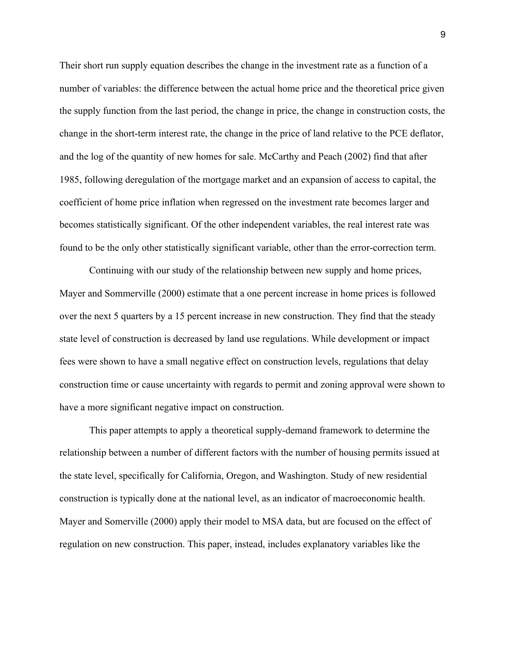Their short run supply equation describes the change in the investment rate as a function of a number of variables: the difference between the actual home price and the theoretical price given the supply function from the last period, the change in price, the change in construction costs, the change in the short-term interest rate, the change in the price of land relative to the PCE deflator, and the log of the quantity of new homes for sale. McCarthy and Peach (2002) find that after 1985, following deregulation of the mortgage market and an expansion of access to capital, the coefficient of home price inflation when regressed on the investment rate becomes larger and becomes statistically significant. Of the other independent variables, the real interest rate was found to be the only other statistically significant variable, other than the error-correction term.

Continuing with our study of the relationship between new supply and home prices, Mayer and Sommerville (2000) estimate that a one percent increase in home prices is followed over the next 5 quarters by a 15 percent increase in new construction. They find that the steady state level of construction is decreased by land use regulations. While development or impact fees were shown to have a small negative effect on construction levels, regulations that delay construction time or cause uncertainty with regards to permit and zoning approval were shown to have a more significant negative impact on construction.

This paper attempts to apply a theoretical supply-demand framework to determine the relationship between a number of different factors with the number of housing permits issued at the state level, specifically for California, Oregon, and Washington. Study of new residential construction is typically done at the national level, as an indicator of macroeconomic health. Mayer and Somerville (2000) apply their model to MSA data, but are focused on the effect of regulation on new construction. This paper, instead, includes explanatory variables like the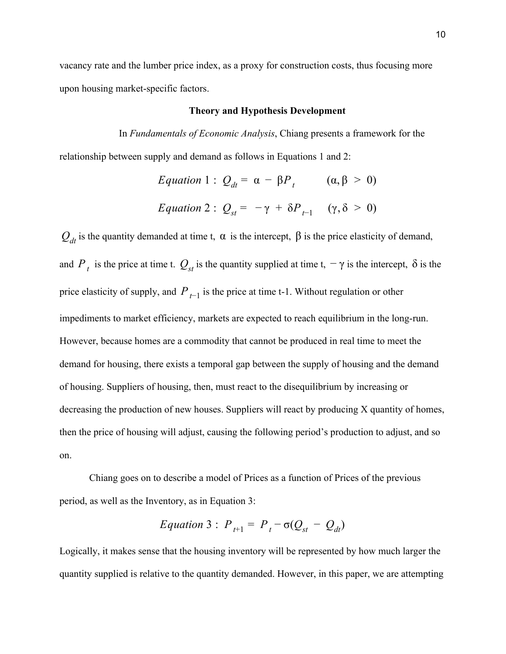vacancy rate and the lumber price index, as a proxy for construction costs, thus focusing more upon housing market-specific factors.

#### **Theory and Hypothesis Development**

In *Fundamentals of Economic Analysis*, Chiang presents a framework for the relationship between supply and demand as follows in Equations 1 and 2:

Equation 1 : 
$$
Q_{dt} = \alpha - \beta P_t
$$
  $(\alpha, \beta > 0)$   
\nEquation 2 :  $Q_{st} = -\gamma + \delta P_{t-1}$   $(\gamma, \delta > 0)$ 

 $Q_{dt}$  is the quantity demanded at time t,  $\alpha$  is the intercept,  $\beta$  is the price elasticity of demand, and  $P_t$  is the price at time t.  $Q_{st}$  is the quantity supplied at time t,  $-\gamma$  is the intercept,  $\delta$  is the price elasticity of supply, and  $P_{t-1}$  is the price at time t-1. Without regulation or other impediments to market efficiency, markets are expected to reach equilibrium in the long-run. However, because homes are a commodity that cannot be produced in real time to meet the demand for housing, there exists a temporal gap between the supply of housing and the demand of housing. Suppliers of housing, then, must react to the disequilibrium by increasing or decreasing the production of new houses. Suppliers will react by producing X quantity of homes, then the price of housing will adjust, causing the following period's production to adjust, and so on.

Chiang goes on to describe a model of Prices as a function of Prices of the previous period, as well as the Inventory, as in Equation 3:

$$
Equation 3: P_{t+1} = P_t - \sigma(Q_{st} - Q_{dt})
$$

Logically, it makes sense that the housing inventory will be represented by how much larger the quantity supplied is relative to the quantity demanded. However, in this paper, we are attempting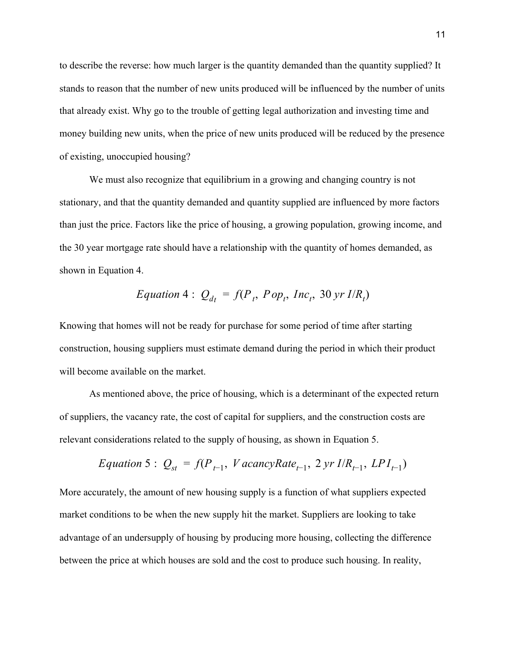to describe the reverse: how much larger is the quantity demanded than the quantity supplied? It stands to reason that the number of new units produced will be influenced by the number of units that already exist. Why go to the trouble of getting legal authorization and investing time and money building new units, when the price of new units produced will be reduced by the presence of existing, unoccupied housing?

We must also recognize that equilibrium in a growing and changing country is not stationary, and that the quantity demanded and quantity supplied are influenced by more factors than just the price. Factors like the price of housing, a growing population, growing income, and the 30 year mortgage rate should have a relationship with the quantity of homes demanded, as shown in Equation 4.

$$
Equation 4: Q_{dt} = f(P_t, Pop_t, Inc_t, 30 yr I/R_t)
$$

Knowing that homes will not be ready for purchase for some period of time after starting construction, housing suppliers must estimate demand during the period in which their product will become available on the market.

As mentioned above, the price of housing, which is a determinant of the expected return of suppliers, the vacancy rate, the cost of capital for suppliers, and the construction costs are relevant considerations related to the supply of housing, as shown in Equation 5.

$$
Equation 5: Q_{st} = f(P_{t-1}, \text{ VacancyRate}_{t-1}, 2 \text{ yr I/R}_{t-1}, \text{LPI}_{t-1})
$$

More accurately, the amount of new housing supply is a function of what suppliers expected market conditions to be when the new supply hit the market. Suppliers are looking to take advantage of an undersupply of housing by producing more housing, collecting the difference between the price at which houses are sold and the cost to produce such housing. In reality,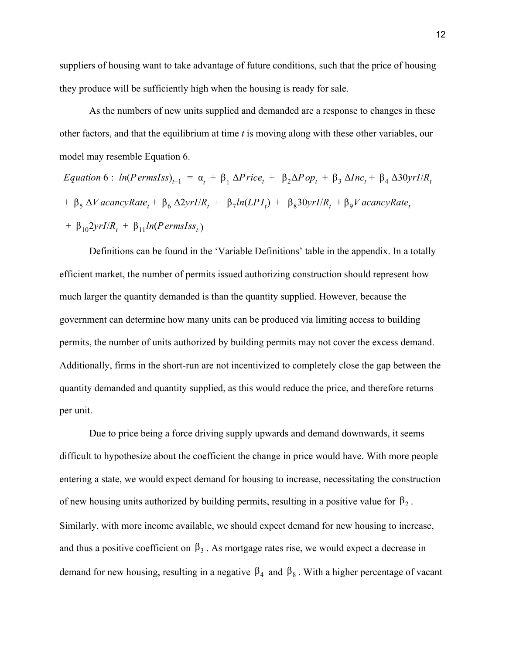suppliers of housing want to take advantage of future conditions, such that the price of housing they produce will be sufficiently high when the housing is ready for sale.

As the numbers of new units supplied and demanded are a response to changes in these other factors, and that the equilibrium at time *t* is moving along with these other variables, our model may resemble Equation 6.

*Equation* 6 :  $ln(P \text{ernsIss})_{t+1} = \alpha_t + \beta_1 \Delta P \text{rice}_t + \beta_2 \Delta P \text{op}_t + \beta_3 \Delta Inc_t + \beta_4 \Delta 30 \text{yrI/R}_t$  $+ \beta_5 \Delta V$  *acancyRate*<sub>t</sub> +  $\beta_6 \Delta 2yrI/R_t + \beta_7 ln(LPI_t) + \beta_8 30yrI/R_t + \beta_9 V$  *acancyRate*<sub>t</sub>  $+ \beta_{10} 2yrI/R_t + \beta_{11} ln(PernsIss_t)$ 

Definitions can be found in the 'Variable Definitions' table in the appendix. In a totally efficient market, the number of permits issued authorizing construction should represent how much larger the quantity demanded is than the quantity supplied. However, because the government can determine how many units can be produced via limiting access to building permits, the number of units authorized by building permits may not cover the excess demand. Additionally, firms in the short-run are not incentivized to completely close the gap between the quantity demanded and quantity supplied, as this would reduce the price, and therefore returns per unit.

Due to price being a force driving supply upwards and demand downwards, it seems difficult to hypothesize about the coefficient the change in price would have. With more people entering a state, we would expect demand for housing to increase, necessitating the construction of new housing units authorized by building permits, resulting in a positive value for  $\beta_2$ . Similarly, with more income available, we should expect demand for new housing to increase, and thus a positive coefficient on  $\beta_3$ . As mortgage rates rise, we would expect a decrease in demand for new housing, resulting in a negative  $\beta_4$  and  $\beta_8$ . With a higher percentage of vacant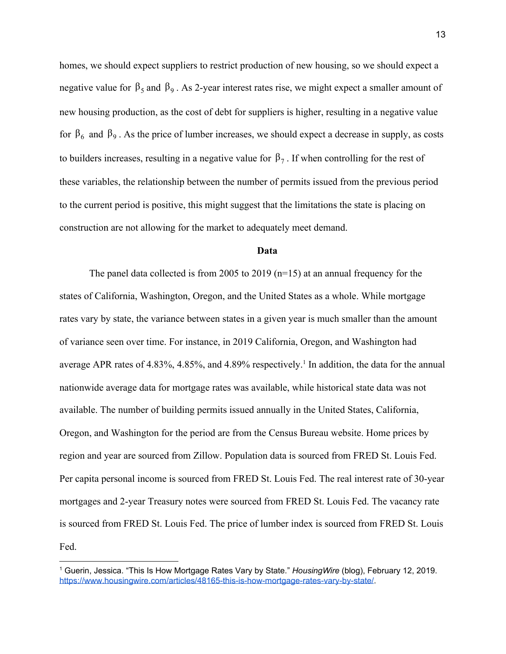homes, we should expect suppliers to restrict production of new housing, so we should expect a negative value for  $\beta_5$  and  $\beta_9$ . As 2-year interest rates rise, we might expect a smaller amount of new housing production, as the cost of debt for suppliers is higher, resulting in a negative value for  $β_6$  and  $β_9$ . As the price of lumber increases, we should expect a decrease in supply, as costs to builders increases, resulting in a negative value for  $\beta_7$ . If when controlling for the rest of these variables, the relationship between the number of permits issued from the previous period to the current period is positive, this might suggest that the limitations the state is placing on construction are not allowing for the market to adequately meet demand.

#### **Data**

The panel data collected is from 2005 to 2019 (n=15) at an annual frequency for the states of California, Washington, Oregon, and the United States as a whole. While mortgage rates vary by state, the variance between states in a given year is much smaller than the amount of variance seen over time. For instance, in 2019 California, Oregon, and Washington had average APR rates of 4.83%, 4.85%, and 4.89% respectively.<sup>1</sup> In addition, the data for the annual nationwide average data for mortgage rates was available, while historical state data was not available. The number of building permits issued annually in the United States, California, Oregon, and Washington for the period are from the Census Bureau website. Home prices by region and year are sourced from Zillow. Population data is sourced from FRED St. Louis Fed. Per capita personal income is sourced from FRED St. Louis Fed. The real interest rate of 30-year mortgages and 2-year Treasury notes were sourced from FRED St. Louis Fed. The vacancy rate is sourced from FRED St. Louis Fed. The price of lumber index is sourced from FRED St. Louis Fed.

<sup>1</sup> Guerin, Jessica. "This Is How Mortgage Rates Vary by State." *HousingWire* (blog), February 12, 2019. <https://www.housingwire.com/articles/48165-this-is-how-mortgage-rates-vary-by-state/>.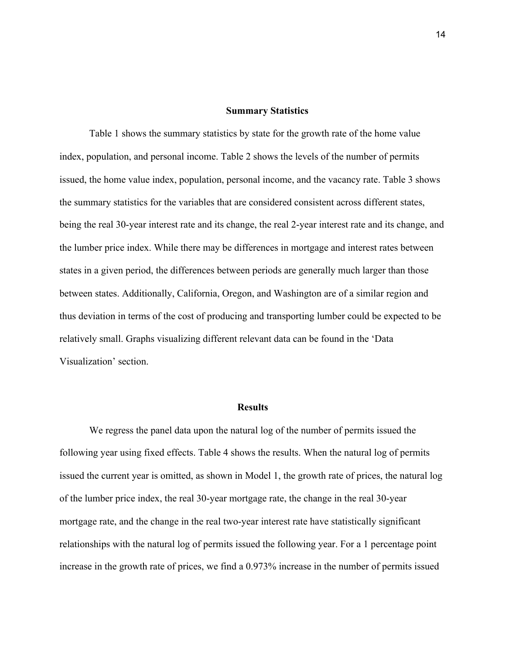#### **Summary Statistics**

Table 1 shows the summary statistics by state for the growth rate of the home value index, population, and personal income. Table 2 shows the levels of the number of permits issued, the home value index, population, personal income, and the vacancy rate. Table 3 shows the summary statistics for the variables that are considered consistent across different states, being the real 30-year interest rate and its change, the real 2-year interest rate and its change, and the lumber price index. While there may be differences in mortgage and interest rates between states in a given period, the differences between periods are generally much larger than those between states. Additionally, California, Oregon, and Washington are of a similar region and thus deviation in terms of the cost of producing and transporting lumber could be expected to be relatively small. Graphs visualizing different relevant data can be found in the 'Data Visualization' section.

#### **Results**

We regress the panel data upon the natural log of the number of permits issued the following year using fixed effects. Table 4 shows the results. When the natural log of permits issued the current year is omitted, as shown in Model 1, the growth rate of prices, the natural log of the lumber price index, the real 30-year mortgage rate, the change in the real 30-year mortgage rate, and the change in the real two-year interest rate have statistically significant relationships with the natural log of permits issued the following year. For a 1 percentage point increase in the growth rate of prices, we find a 0.973% increase in the number of permits issued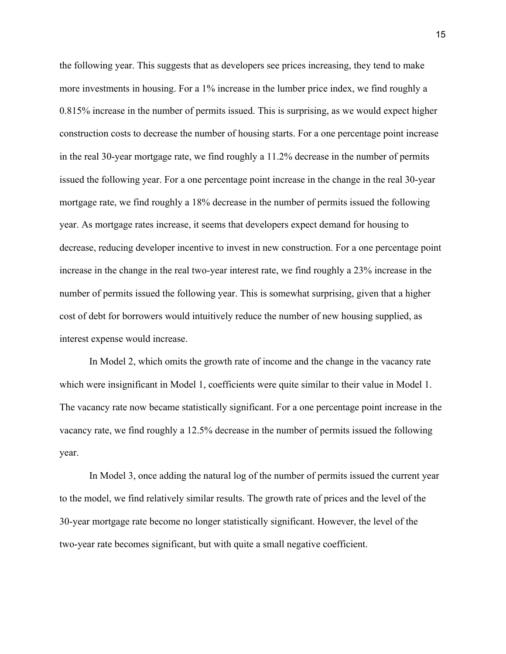the following year. This suggests that as developers see prices increasing, they tend to make more investments in housing. For a 1% increase in the lumber price index, we find roughly a 0.815% increase in the number of permits issued. This is surprising, as we would expect higher construction costs to decrease the number of housing starts. For a one percentage point increase in the real 30-year mortgage rate, we find roughly a 11.2% decrease in the number of permits issued the following year. For a one percentage point increase in the change in the real 30-year mortgage rate, we find roughly a 18% decrease in the number of permits issued the following year. As mortgage rates increase, it seems that developers expect demand for housing to decrease, reducing developer incentive to invest in new construction. For a one percentage point increase in the change in the real two-year interest rate, we find roughly a 23% increase in the number of permits issued the following year. This is somewhat surprising, given that a higher cost of debt for borrowers would intuitively reduce the number of new housing supplied, as interest expense would increase.

In Model 2, which omits the growth rate of income and the change in the vacancy rate which were insignificant in Model 1, coefficients were quite similar to their value in Model 1. The vacancy rate now became statistically significant. For a one percentage point increase in the vacancy rate, we find roughly a 12.5% decrease in the number of permits issued the following year.

In Model 3, once adding the natural log of the number of permits issued the current year to the model, we find relatively similar results. The growth rate of prices and the level of the 30-year mortgage rate become no longer statistically significant. However, the level of the two-year rate becomes significant, but with quite a small negative coefficient.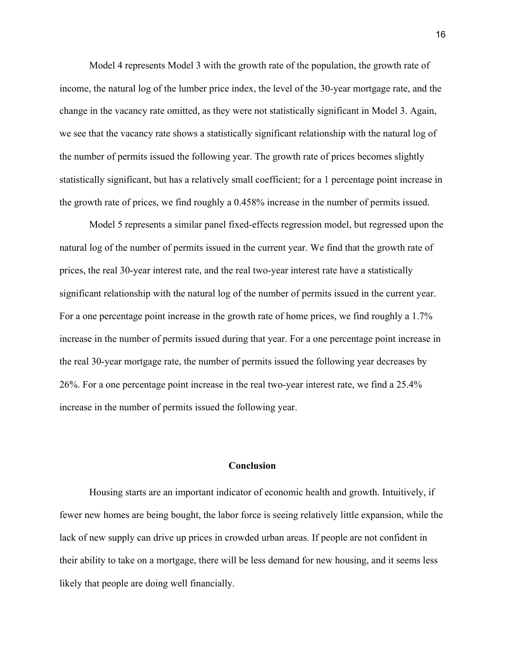Model 4 represents Model 3 with the growth rate of the population, the growth rate of income, the natural log of the lumber price index, the level of the 30-year mortgage rate, and the change in the vacancy rate omitted, as they were not statistically significant in Model 3. Again, we see that the vacancy rate shows a statistically significant relationship with the natural log of the number of permits issued the following year. The growth rate of prices becomes slightly statistically significant, but has a relatively small coefficient; for a 1 percentage point increase in the growth rate of prices, we find roughly a 0.458% increase in the number of permits issued.

Model 5 represents a similar panel fixed-effects regression model, but regressed upon the natural log of the number of permits issued in the current year. We find that the growth rate of prices, the real 30-year interest rate, and the real two-year interest rate have a statistically significant relationship with the natural log of the number of permits issued in the current year. For a one percentage point increase in the growth rate of home prices, we find roughly a 1.7% increase in the number of permits issued during that year. For a one percentage point increase in the real 30-year mortgage rate, the number of permits issued the following year decreases by 26%. For a one percentage point increase in the real two-year interest rate, we find a 25.4% increase in the number of permits issued the following year.

#### **Conclusion**

Housing starts are an important indicator of economic health and growth. Intuitively, if fewer new homes are being bought, the labor force is seeing relatively little expansion, while the lack of new supply can drive up prices in crowded urban areas. If people are not confident in their ability to take on a mortgage, there will be less demand for new housing, and it seems less likely that people are doing well financially.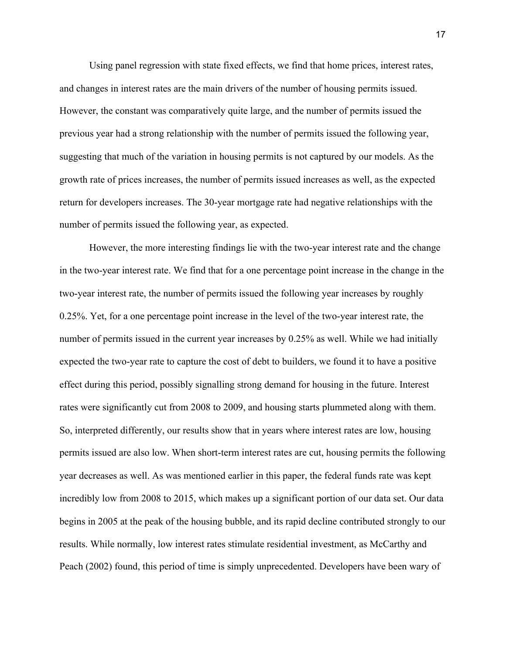Using panel regression with state fixed effects, we find that home prices, interest rates, and changes in interest rates are the main drivers of the number of housing permits issued. However, the constant was comparatively quite large, and the number of permits issued the previous year had a strong relationship with the number of permits issued the following year, suggesting that much of the variation in housing permits is not captured by our models. As the growth rate of prices increases, the number of permits issued increases as well, as the expected return for developers increases. The 30-year mortgage rate had negative relationships with the number of permits issued the following year, as expected.

However, the more interesting findings lie with the two-year interest rate and the change in the two-year interest rate. We find that for a one percentage point increase in the change in the two-year interest rate, the number of permits issued the following year increases by roughly 0.25%. Yet, for a one percentage point increase in the level of the two-year interest rate, the number of permits issued in the current year increases by 0.25% as well. While we had initially expected the two-year rate to capture the cost of debt to builders, we found it to have a positive effect during this period, possibly signalling strong demand for housing in the future. Interest rates were significantly cut from 2008 to 2009, and housing starts plummeted along with them. So, interpreted differently, our results show that in years where interest rates are low, housing permits issued are also low. When short-term interest rates are cut, housing permits the following year decreases as well. As was mentioned earlier in this paper, the federal funds rate was kept incredibly low from 2008 to 2015, which makes up a significant portion of our data set. Our data begins in 2005 at the peak of the housing bubble, and its rapid decline contributed strongly to our results. While normally, low interest rates stimulate residential investment, as McCarthy and Peach (2002) found, this period of time is simply unprecedented. Developers have been wary of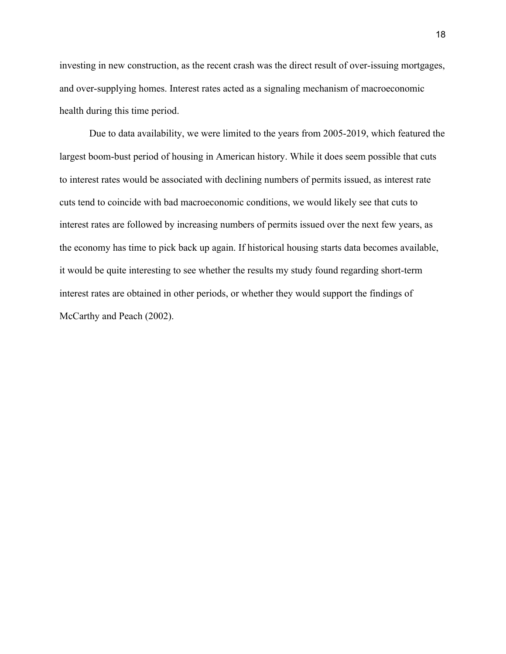investing in new construction, as the recent crash was the direct result of over-issuing mortgages, and over-supplying homes. Interest rates acted as a signaling mechanism of macroeconomic health during this time period.

Due to data availability, we were limited to the years from 2005-2019, which featured the largest boom-bust period of housing in American history. While it does seem possible that cuts to interest rates would be associated with declining numbers of permits issued, as interest rate cuts tend to coincide with bad macroeconomic conditions, we would likely see that cuts to interest rates are followed by increasing numbers of permits issued over the next few years, as the economy has time to pick back up again. If historical housing starts data becomes available, it would be quite interesting to see whether the results my study found regarding short-term interest rates are obtained in other periods, or whether they would support the findings of McCarthy and Peach (2002).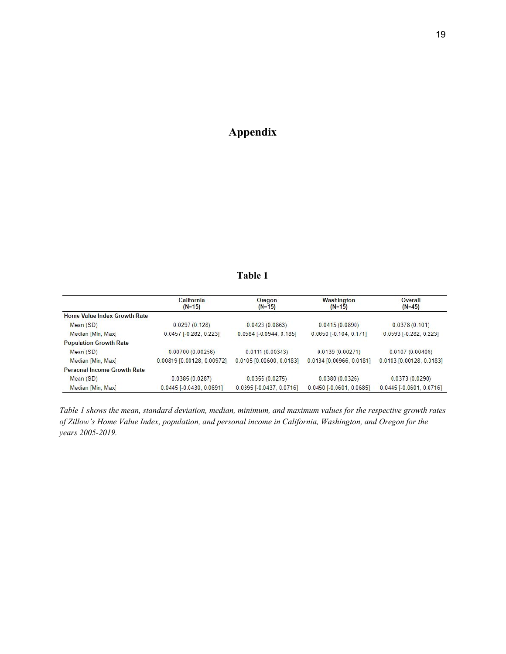# **Appendix**

### **Table 1**

|                               | California<br>$(N=15)$     | Oregon<br>$(N=15)$         | Washington<br>$(N=15)$     | Overall<br>$(N=45)$        |
|-------------------------------|----------------------------|----------------------------|----------------------------|----------------------------|
| Home Value Index Growth Rate  |                            |                            |                            |                            |
| Mean (SD)                     | 0.0297(0.128)              | 0.0423(0.0863)             | 0.0415(0.0890)             | 0.0378(0.101)              |
| Median [Min, Max]             | $0.0457$ [-0.282, 0.223]   | $0.0584$ [-0.0944, 0.185]  | $0.0650$ [-0.104, 0.171]   | 0.0593 [-0.282, 0.223]     |
| <b>Population Growth Rate</b> |                            |                            |                            |                            |
| Mean (SD)                     | 0.00700(0.00256)           | 0.0111(0.00343)            | 0.0139(0.00271)            | 0.0107(0.00406)            |
| Median [Min, Max]             | 0.00819 [0.00128, 0.00972] | 0.0105 [0.00600, 0.0183]   | 0.0134 [0.00966, 0.0181]   | $0.0103$ [0.00128, 0.0183] |
| Personal Income Growth Rate   |                            |                            |                            |                            |
| Mean (SD)                     | 0.0385(0.0287)             | 0.0355(0.0275)             | 0.0380(0.0326)             | 0.0373(0.0290)             |
| Median [Min, Max]             | $0.0445$ [-0.0430, 0.0691] | $0.0395$ [-0.0437, 0.0716] | $0.0450$ [-0.0601, 0.0685] | 0.0445 [-0.0601, 0.0716]   |

Table 1 shows the mean, standard deviation, median, minimum, and maximum values for the respective growth rates *of Zillow's Home Value Index, population, and personal income in California, Washington, and Oregon for the years 2005-2019.*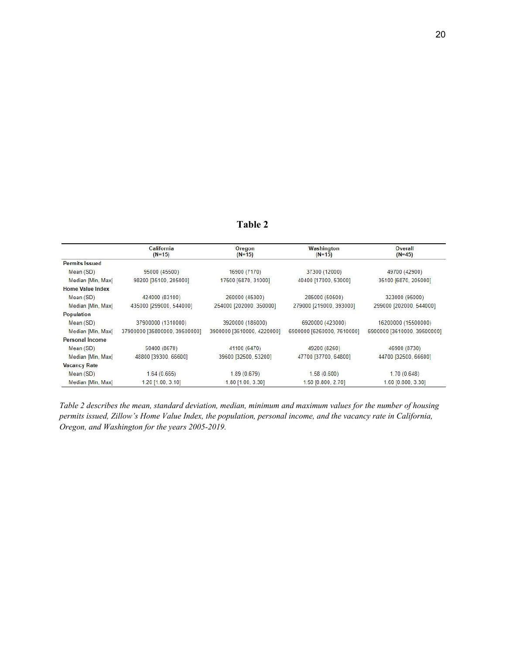## **Table 2**

|                         | California<br>$(N=15)$        | Oregon<br>$(N=15)$         | Washington<br>$(N=15)$     | Overall<br>$(N=45)$         |
|-------------------------|-------------------------------|----------------------------|----------------------------|-----------------------------|
| <b>Permits Issued</b>   |                               |                            |                            |                             |
| Mean (SD)               | 95000 (45500)                 | 16900 (7170)               | 37300 (12000)              | 49700 (42900)               |
| Median [Min, Max]       | 98200 [35100, 205000]         | 17500 [6870, 31000]        | 40400 [17000, 53000]       | 35100 [6870, 205000]        |
| <b>Home Value Index</b> |                               |                            |                            |                             |
| Mean (SD)               | 424000 (83100)                | 260000 (45300)             | 285000 (50500)             | 323000 (95000)              |
| Median [Min, Max]       | 435000 [299000, 544000]       | 254000 [202000, 350000]    | 279000 [219000, 393000]    | 299000 [202000, 544000]     |
| <b>Population</b>       |                               |                            |                            |                             |
| Mean $(SD)$             | 37900000 (1310000)            | 3920000 (186000)           | 6920000 (423000)           | 16200000 (15500000)         |
| Median [Min, Max]       | 37900000 [35800000, 39500000] | 3900000 [3610000, 4220000] | 6900000 [6260000, 7610000] | 6900000 [3610000, 39500000] |
| <b>Personal Income</b>  |                               |                            |                            |                             |
| Mean(SD)                | 50400 (8670)                  | 41100 (6470)               | 49200 (8260)               | 46900 (8730)                |
| Median [Min, Max]       | 48800 [39300, 66600]          | 39600 [32500, 53200]       | 47700 [37700, 64800]       | 44700 [32500, 66600]        |
| <b>Vacancy Rate</b>     |                               |                            |                            |                             |
| Mean (SD)               | 1.64(0.665)                   | 1.89(0.679)                | 1.58(0.600)                | 1.70(0.648)                 |
| Median [Min, Max]       | $1.20$ [1.00, 3.10]           | $1.80$ [ $1.00, 3.30$ ]    | 1.50 [0.800, 2.70]         | 1.60 [0.800, 3.30]          |

Table 2 describes the mean, standard deviation, median, minimum and maximum values for the number of housing *permits issued, Zillow's Home Value Index, the population, personal income, and the vacancy rate in California, Oregon, and Washington for the years 2005-2019.*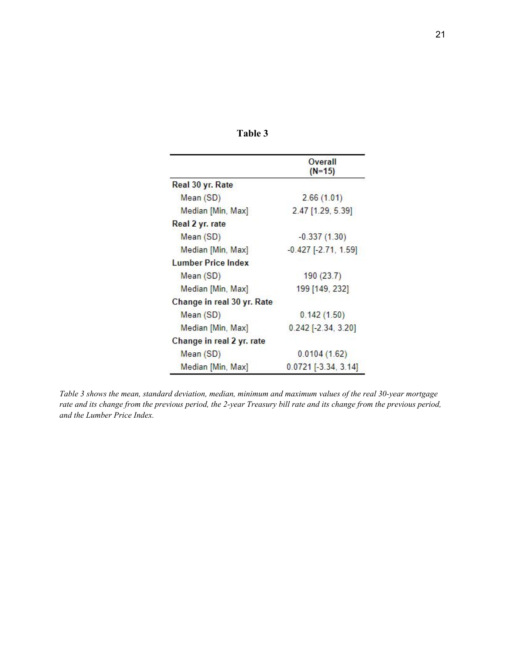|                            | Overall<br>$(N=15)$        |
|----------------------------|----------------------------|
| Real 30 yr. Rate           |                            |
| Mean (SD)                  | 2.66(1.01)                 |
| Median [Min, Max]          | 2.47 [1.29, 5.39]          |
| Real 2 yr. rate            |                            |
| Mean (SD)                  | $-0.337(1.30)$             |
| Median [Min, Max]          | $-0.427$ [ $-2.71$ , 1.59] |
| <b>Lumber Price Index</b>  |                            |
| Mean (SD)                  | 190(23.7)                  |
| Median [Min, Max]          | 199 [149, 232]             |
| Change in real 30 yr. Rate |                            |
| Mean (SD)                  | 0.142(1.50)                |
| Median [Min, Max]          | $0.242$ [-2.34, 3.20]      |
| Change in real 2 yr. rate  |                            |
| Mean (SD)                  | 0.0104(1.62)               |
| Median [Min, Max]          | $0.0721$ [-3.34, 3.14]     |

Table 3 shows the mean, standard deviation, median, minimum and maximum values of the real 30-year mortgage rate and its change from the previous period, the 2-year Treasury bill rate and its change from the previous period, *and the Lumber Price Index.*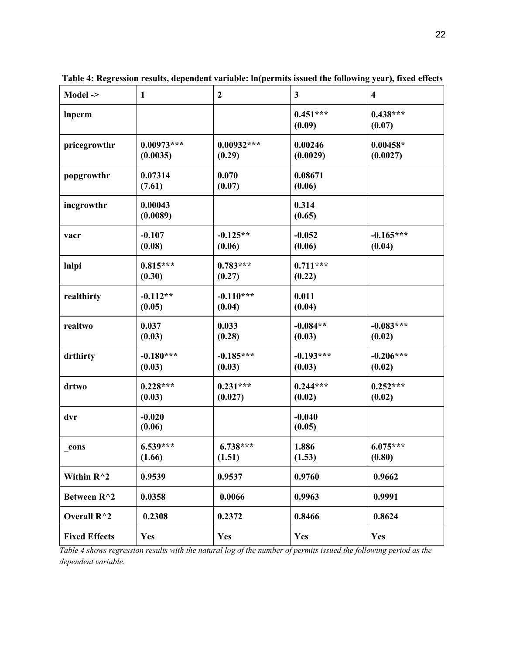| Model $\rightarrow$  | $\mathbf{1}$             | $\boldsymbol{2}$       | $\mathbf{3}$          | $\overline{\mathbf{4}}$ |
|----------------------|--------------------------|------------------------|-----------------------|-------------------------|
| <b>Inperm</b>        |                          |                        | $0.451***$<br>(0.09)  | $0.438***$<br>(0.07)    |
| pricegrowthr         | $0.00973***$<br>(0.0035) | $0.00932***$<br>(0.29) | 0.00246<br>(0.0029)   | $0.00458*$<br>(0.0027)  |
| popgrowthr           | 0.07314<br>(7.61)        | 0.070<br>(0.07)        | 0.08671<br>(0.06)     |                         |
| incgrowthr           | 0.00043<br>(0.0089)      |                        | 0.314<br>(0.65)       |                         |
| vacr                 | $-0.107$<br>(0.08)       | $-0.125**$<br>(0.06)   | $-0.052$<br>(0.06)    | $-0.165***$<br>(0.04)   |
| <b>Inlpi</b>         | $0.815***$<br>(0.30)     | $0.783***$<br>(0.27)   | $0.711***$<br>(0.22)  |                         |
| realthirty           | $-0.112**$<br>(0.05)     | $-0.110***$<br>(0.04)  | 0.011<br>(0.04)       |                         |
| realtwo              | 0.037<br>(0.03)          | 0.033<br>(0.28)        | $-0.084**$<br>(0.03)  | $-0.083***$<br>(0.02)   |
| drthirty             | $-0.180***$<br>(0.03)    | $-0.185***$<br>(0.03)  | $-0.193***$<br>(0.03) | $-0.206***$<br>(0.02)   |
| drtwo                | $0.228***$<br>(0.03)     | $0.231***$<br>(0.027)  | $0.244***$<br>(0.02)  | $0.252***$<br>(0.02)    |
| dvr                  | $-0.020$<br>(0.06)       |                        | $-0.040$<br>(0.05)    |                         |
| _cons                | $6.539***$<br>(1.66)     | $6.738***$<br>(1.51)   | 1.886<br>(1.53)       | $6.075***$<br>(0.80)    |
| Within $R^2$         | 0.9539                   | 0.9537                 | 0.9760                | 0.9662                  |
| Between R^2          | 0.0358                   | 0.0066                 | 0.9963                | 0.9991                  |
| Overall R^2          | 0.2308                   | 0.2372                 | 0.8466                | 0.8624                  |
| <b>Fixed Effects</b> | <b>Yes</b>               | <b>Yes</b>             | Yes                   | Yes                     |

**Table 4: Regression results, dependent variable: ln(permits issued the following year), fixed effects**

Table 4 shows regression results with the natural log of the number of permits issued the following period as the *dependent variable.*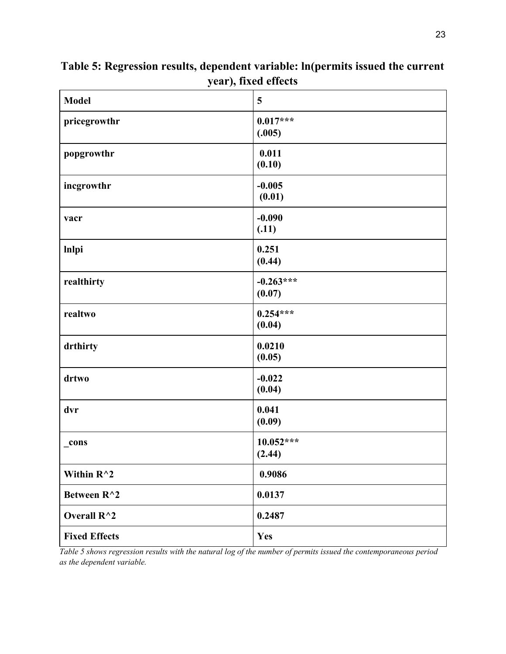| <b>Model</b>         | 5                     |
|----------------------|-----------------------|
| pricegrowthr         | $0.017***$<br>(.005)  |
| popgrowthr           | 0.011<br>(0.10)       |
| incgrowthr           | $-0.005$<br>(0.01)    |
| vacr                 | $-0.090$<br>(.11)     |
| <b>Inlpi</b>         | 0.251<br>(0.44)       |
| realthirty           | $-0.263***$<br>(0.07) |
| realtwo              | $0.254***$<br>(0.04)  |
| drthirty             | 0.0210<br>(0.05)      |
| drtwo                | $-0.022$<br>(0.04)    |
| dvr                  | 0.041<br>(0.09)       |
| _cons                | $10.052***$<br>(2.44) |
| Within $R^{\wedge}2$ | 0.9086                |
| Between R^2          | 0.0137                |
| Overall R^2          | 0.2487                |
| <b>Fixed Effects</b> | Yes                   |

**Table 5: Regression results, dependent variable: ln(permits issued the current year), fixed effects**

Table 5 shows regression results with the natural log of the number of permits issued the contemporaneous period *as the dependent variable.*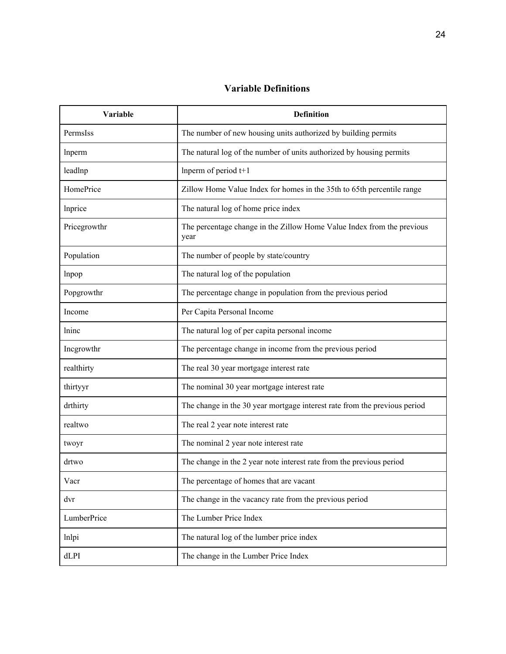## **Variable Definitions**

| Variable     | <b>Definition</b>                                                              |
|--------------|--------------------------------------------------------------------------------|
| PermsIss     | The number of new housing units authorized by building permits                 |
| Inperm       | The natural log of the number of units authorized by housing permits           |
| leadInp      | Inperm of period $t+1$                                                         |
| HomePrice    | Zillow Home Value Index for homes in the 35th to 65th percentile range         |
| Inprice      | The natural log of home price index                                            |
| Pricegrowthr | The percentage change in the Zillow Home Value Index from the previous<br>year |
| Population   | The number of people by state/country                                          |
| lnpop        | The natural log of the population                                              |
| Popgrowthr   | The percentage change in population from the previous period                   |
| Income       | Per Capita Personal Income                                                     |
| lninc        | The natural log of per capita personal income                                  |
| Incgrowthr   | The percentage change in income from the previous period                       |
| realthirty   | The real 30 year mortgage interest rate                                        |
| thirtyyr     | The nominal 30 year mortgage interest rate                                     |
| drthirty     | The change in the 30 year mortgage interest rate from the previous period      |
| realtwo      | The real 2 year note interest rate                                             |
| twoyr        | The nominal 2 year note interest rate                                          |
| drtwo        | The change in the 2 year note interest rate from the previous period           |
| Vacr         | The percentage of homes that are vacant                                        |
| dvr          | The change in the vacancy rate from the previous period                        |
| LumberPrice  | The Lumber Price Index                                                         |
| lnlpi        | The natural log of the lumber price index                                      |
| dLPI         | The change in the Lumber Price Index                                           |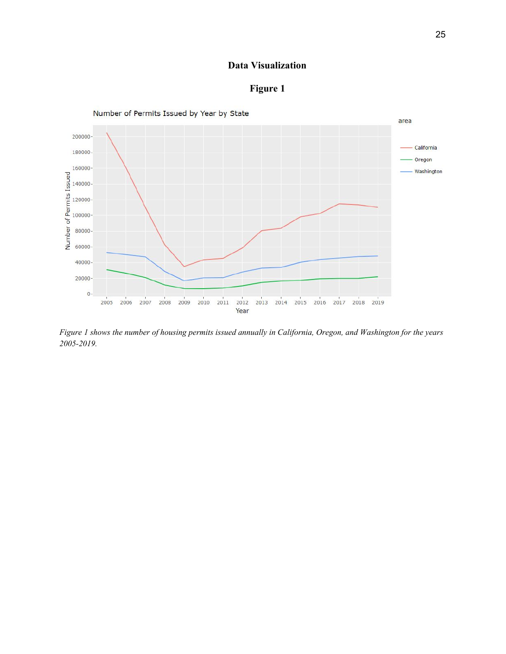### **Data Visualization**





Figure 1 shows the number of housing permits issued annually in California, Oregon, and Washington for the years *2005-2019.*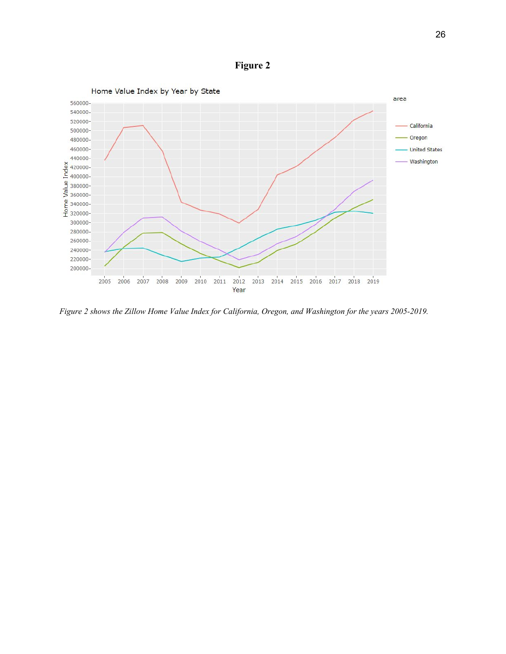**Figure 2**



Figure 2 shows the Zillow Home Value Index for California, Oregon, and Washington for the years 2005-2019.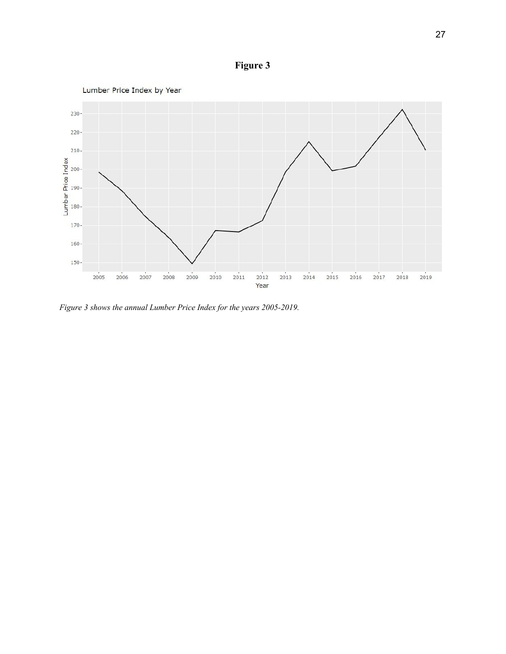



*Figure 3 shows the annual Lumber Price Index for the years 2005-2019.*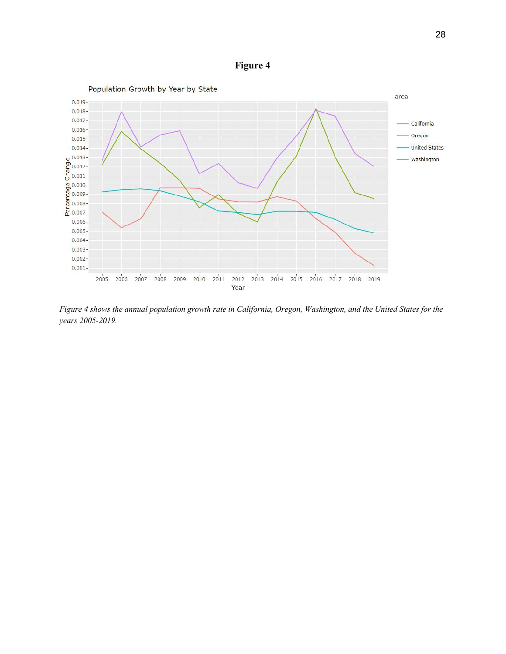**Figure 4**



Figure 4 shows the annual population growth rate in California, Oregon, Washington, and the United States for the *years 2005-2019.*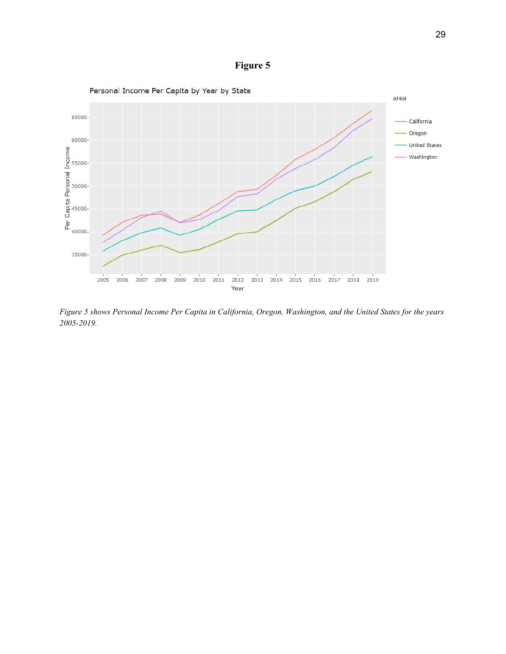



Figure 5 shows Personal Income Per Capita in California, Oregon, Washington, and the United States for the years *2005-2019.*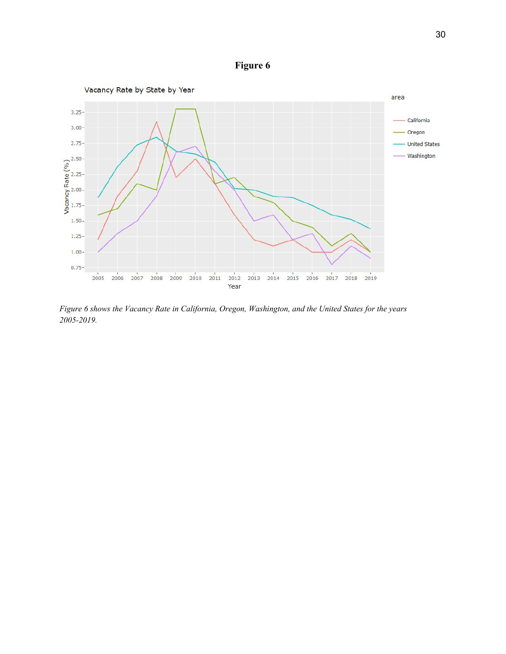**Figure 6**



*Figure 6 shows the Vacancy Rate in California, Oregon, Washington, and the United States for the years 2005-2019.*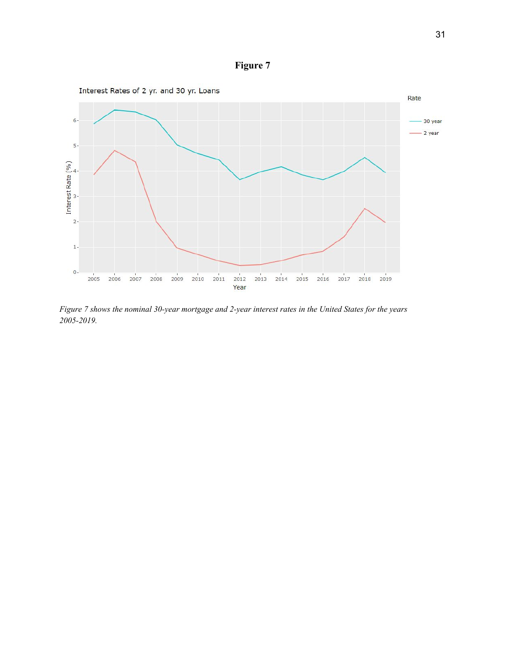



Figure 7 shows the nominal 30-year mortgage and 2-year interest rates in the United States for the years *2005-2019.*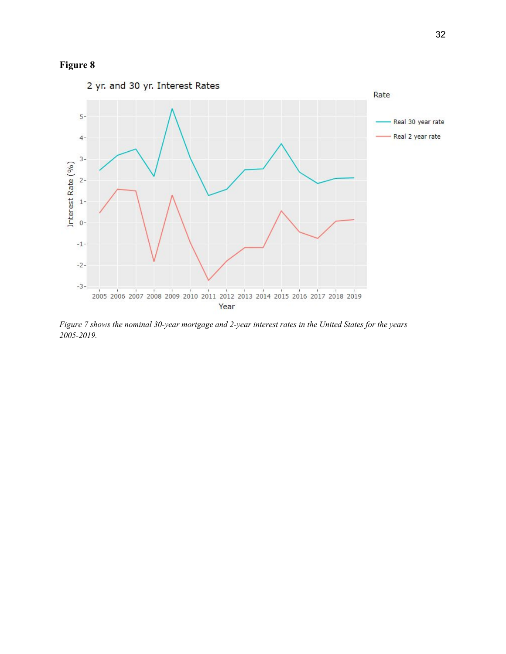## **Figure 8**



Figure 7 shows the nominal 30-year mortgage and 2-year interest rates in the United States for the years *2005-2019.*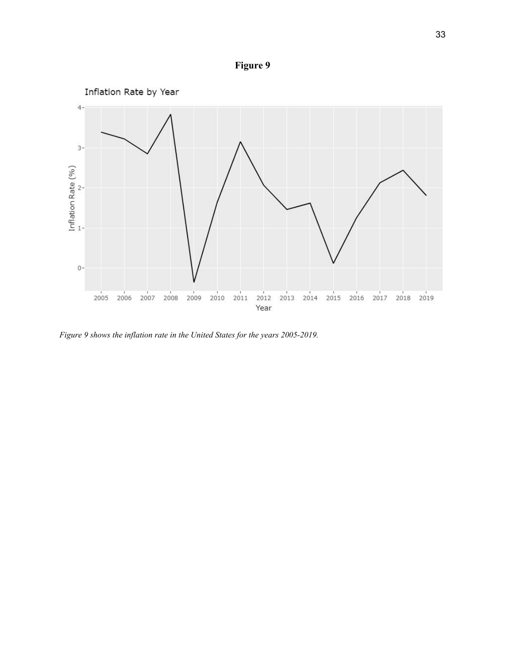



*Figure 9 shows the inflation rate in the United States for the years 2005-2019.*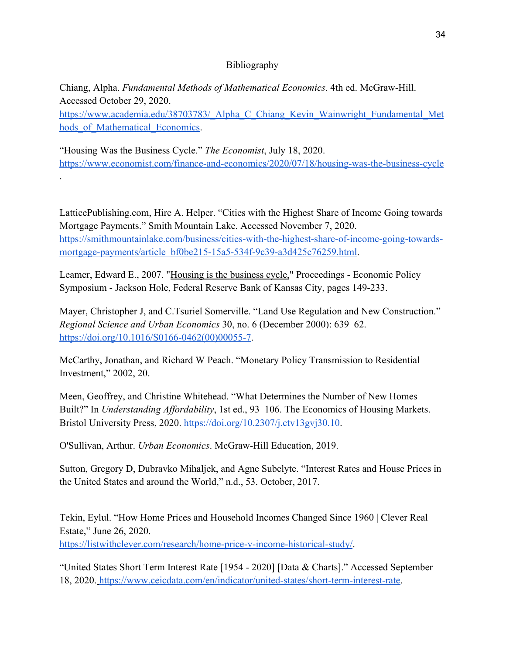## Bibliography

Chiang, Alpha. *Fundamental Methods of Mathematical Economics*. 4th ed. McGraw-Hill. Accessed October 29, 2020.

[https://www.academia.edu/38703783/\\_Alpha\\_C\\_Chiang\\_Kevin\\_Wainwright\\_Fundamental\\_Met](https://www.academia.edu/38703783/_Alpha_C_Chiang_Kevin_Wainwright_Fundamental_Methods_of_Mathematical_Economics) hods of Mathematical Economics.

"Housing Was the Business Cycle." *The Economist*, July 18, 2020. <https://www.economist.com/finance-and-economics/2020/07/18/housing-was-the-business-cycle> .

LatticePublishing.com, Hire A. Helper. "Cities with the Highest Share of Income Going towards Mortgage Payments." Smith Mountain Lake. Accessed November 7, 2020. [https://smithmountainlake.com/business/cities-with-the-highest-share-of-income-going-towards](https://smithmountainlake.com/business/cities-with-the-highest-share-of-income-going-towards-mortgage-payments/article_bf0be215-15a5-534f-9c39-a3d425c76259.html)[mortgage-payments/article\\_bf0be215-15a5-534f-9c39-a3d425c76259.html](https://smithmountainlake.com/business/cities-with-the-highest-share-of-income-going-towards-mortgage-payments/article_bf0be215-15a5-534f-9c39-a3d425c76259.html).

Leamer, Edward E., 2007. ["Housing is the business cycle,](http://ideas.repec.org/a/fip/fedkpr/y2007p149-233.html)" Proceedings - Economic Policy Symposium - Jackson Hole, Federal Reserve Bank of Kansas City, pages 149-233.

Mayer, Christopher J, and C.Tsuriel Somerville. "Land Use Regulation and New Construction." *Regional Science and Urban Economics* 30, no. 6 (December 2000): 639–62[.](https://doi.org/10.1016/S0166-0462(00)00055-7) [https://doi.org/10.1016/S0166-0462\(00\)00055-7.](https://doi.org/10.1016/S0166-0462(00)00055-7)

McCarthy, Jonathan, and Richard W Peach. "Monetary Policy Transmission to Residential Investment," 2002, 20.

Meen, Geoffrey, and Christine Whitehead. "What Determines the Number of New Homes Built?" In *Understanding Affordability*, 1st ed., 93–106. The Economics of Housing Markets. Bristol University Press, 2020. <https://doi.org/10.2307/j.ctv13gvj30.10>.

O'Sullivan, Arthur. *Urban Economics*. McGraw-Hill Education, 2019.

Sutton, Gregory D, Dubravko Mihaljek, and Agne Subelyte. "Interest Rates and House Prices in the United States and around the World," n.d., 53. October, 2017.

Tekin, Eylul. "How Home Prices and Household Incomes Changed Since 1960 | Clever Real Estate," June 26, 2020.

[https://listwithclever.com/research/home-price-v-income-historical-study/.](https://listwithclever.com/research/home-price-v-income-historical-study/)

"United States Short Term Interest Rate [1954 - 2020] [Data & Charts]." Accessed September 18, 2020. <https://www.ceicdata.com/en/indicator/united-states/short-term-interest-rate>.